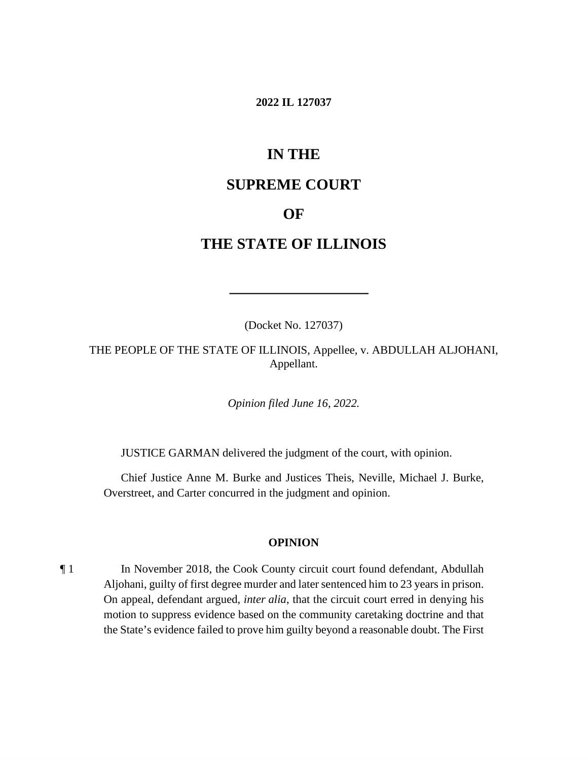#### **2022 IL 127037**

# **IN THE**

# **SUPREME COURT**

# **OF**

# **THE STATE OF ILLINOIS**

(Docket No. 127037)

 THE PEOPLE OF THE STATE OF ILLINOIS, Appellee, v. ABDULLAH ALJOHANI, Appellant.

*Opinion filed June 16, 2022.* 

JUSTICE GARMAN delivered the judgment of the court, with opinion.

Chief Justice Anne M. Burke and Justices Theis, Neville, Michael J. Burke, Overstreet, and Carter concurred in the judgment and opinion.

#### **OPINION**

¶ 1 In November 2018, the Cook County circuit court found defendant, Abdullah Aljohani, guilty of first degree murder and later sentenced him to 23 years in prison. On appeal, defendant argued, *inter alia*, that the circuit court erred in denying his motion to suppress evidence based on the community caretaking doctrine and that the State's evidence failed to prove him guilty beyond a reasonable doubt. The First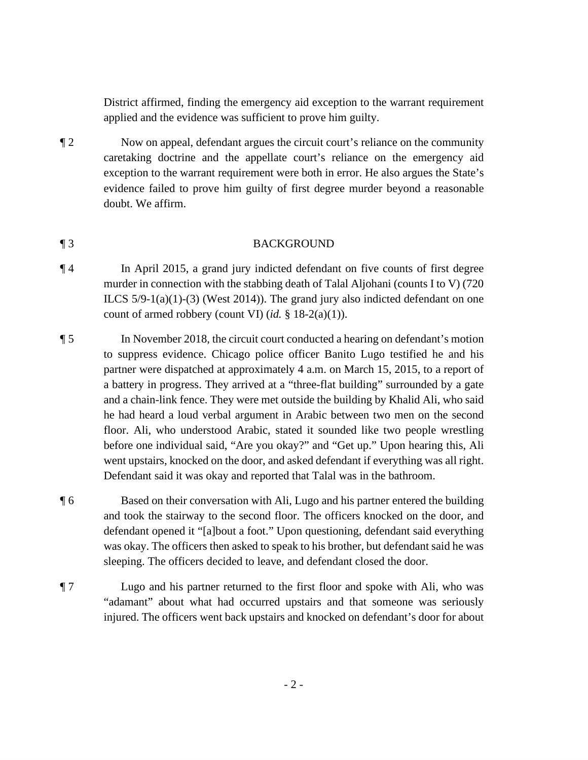District affirmed, finding the emergency aid exception to the warrant requirement applied and the evidence was sufficient to prove him guilty.

¶ 2 Now on appeal, defendant argues the circuit court's reliance on the community caretaking doctrine and the appellate court's reliance on the emergency aid exception to the warrant requirement were both in error. He also argues the State's evidence failed to prove him guilty of first degree murder beyond a reasonable doubt. We affirm.

### ¶ 3 BACKGROUND

- murder in connection with the stabbing death of Talal Aljohani (counts I to V) (720 ¶ 4 In April 2015, a grand jury indicted defendant on five counts of first degree ILCS  $5/9-1(a)(1)-(3)$  (West 2014)). The grand jury also indicted defendant on one count of armed robbery (count VI) (*id.* § 18-2(a)(1)).
- to suppress evidence. Chicago police officer Banito Lugo testified he and his partner were dispatched at approximately 4 a.m. on March 15, 2015, to a report of ¶ 5 In November 2018, the circuit court conducted a hearing on defendant's motion a battery in progress. They arrived at a "three-flat building" surrounded by a gate and a chain-link fence. They were met outside the building by Khalid Ali, who said he had heard a loud verbal argument in Arabic between two men on the second floor. Ali, who understood Arabic, stated it sounded like two people wrestling before one individual said, "Are you okay?" and "Get up." Upon hearing this, Ali went upstairs, knocked on the door, and asked defendant if everything was all right. Defendant said it was okay and reported that Talal was in the bathroom.
- ¶ 6 Based on their conversation with Ali, Lugo and his partner entered the building and took the stairway to the second floor. The officers knocked on the door, and defendant opened it "[a]bout a foot." Upon questioning, defendant said everything was okay. The officers then asked to speak to his brother, but defendant said he was sleeping. The officers decided to leave, and defendant closed the door.
- ¶ 7 Lugo and his partner returned to the first floor and spoke with Ali, who was "adamant" about what had occurred upstairs and that someone was seriously injured. The officers went back upstairs and knocked on defendant's door for about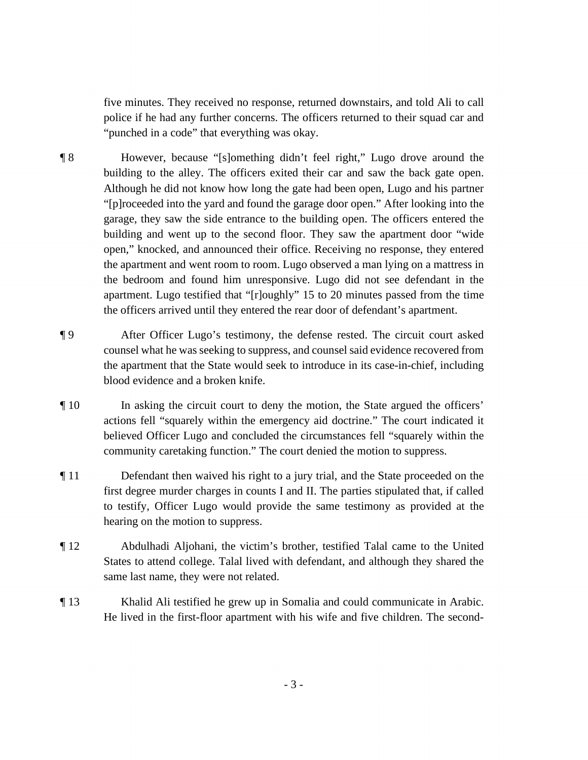"punched in a code" that everything was okay. five minutes. They received no response, returned downstairs, and told Ali to call police if he had any further concerns. The officers returned to their squad car and

- Although he did not know how long the gate had been open, Lugo and his partner garage, they saw the side entrance to the building open. The officers entered the ¶ 8 However, because "[s]omething didn't feel right," Lugo drove around the building to the alley. The officers exited their car and saw the back gate open. "[p]roceeded into the yard and found the garage door open." After looking into the building and went up to the second floor. They saw the apartment door "wide open," knocked, and announced their office. Receiving no response, they entered the apartment and went room to room. Lugo observed a man lying on a mattress in the bedroom and found him unresponsive. Lugo did not see defendant in the apartment. Lugo testified that "[r]oughly" 15 to 20 minutes passed from the time the officers arrived until they entered the rear door of defendant's apartment.
- ¶ 9 After Officer Lugo's testimony, the defense rested. The circuit court asked counsel what he was seeking to suppress, and counsel said evidence recovered from the apartment that the State would seek to introduce in its case-in-chief, including blood evidence and a broken knife.
- ¶ 10 In asking the circuit court to deny the motion, the State argued the officers' actions fell "squarely within the emergency aid doctrine." The court indicated it believed Officer Lugo and concluded the circumstances fell "squarely within the community caretaking function." The court denied the motion to suppress.
- first degree murder charges in counts I and II. The parties stipulated that, if called ¶ 11 Defendant then waived his right to a jury trial, and the State proceeded on the to testify, Officer Lugo would provide the same testimony as provided at the hearing on the motion to suppress.
- ¶ 12 Abdulhadi Aljohani, the victim's brother, testified Talal came to the United States to attend college. Talal lived with defendant, and although they shared the same last name, they were not related.
- ¶ 13 Khalid Ali testified he grew up in Somalia and could communicate in Arabic. He lived in the first-floor apartment with his wife and five children. The second-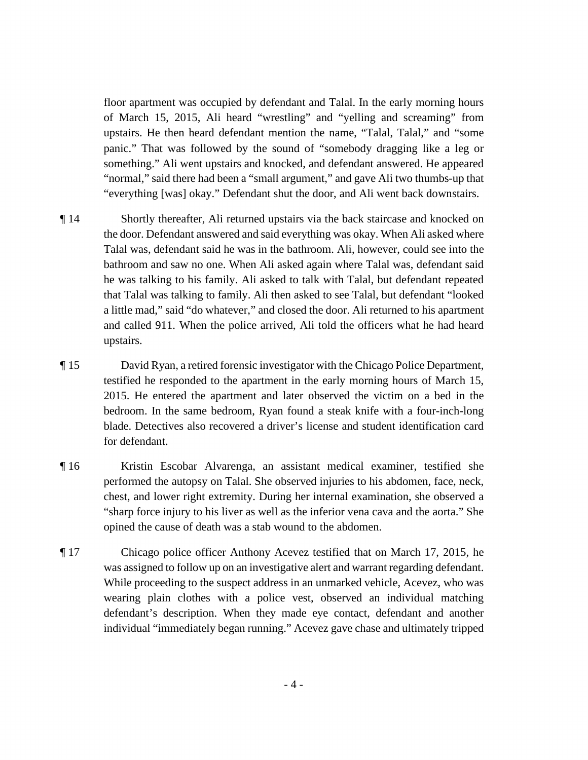floor apartment was occupied by defendant and Talal. In the early morning hours something." Ali went upstairs and knocked, and defendant answered. He appeared of March 15, 2015, Ali heard "wrestling" and "yelling and screaming" from upstairs. He then heard defendant mention the name, "Talal, Talal," and "some panic." That was followed by the sound of "somebody dragging like a leg or "normal," said there had been a "small argument," and gave Ali two thumbs-up that "everything [was] okay." Defendant shut the door, and Ali went back downstairs.

- ¶ 14 Shortly thereafter, Ali returned upstairs via the back staircase and knocked on the door. Defendant answered and said everything was okay. When Ali asked where Talal was, defendant said he was in the bathroom. Ali, however, could see into the bathroom and saw no one. When Ali asked again where Talal was, defendant said he was talking to his family. Ali asked to talk with Talal, but defendant repeated that Talal was talking to family. Ali then asked to see Talal, but defendant "looked a little mad," said "do whatever," and closed the door. Ali returned to his apartment and called 911. When the police arrived, Ali told the officers what he had heard upstairs.
- 2015. He entered the apartment and later observed the victim on a bed in the ¶ 15 David Ryan, a retired forensic investigator with the Chicago Police Department, testified he responded to the apartment in the early morning hours of March 15, bedroom. In the same bedroom, Ryan found a steak knife with a four-inch-long blade. Detectives also recovered a driver's license and student identification card for defendant.
- "sharp force injury to his liver as well as the inferior vena cava and the aorta." She opined the cause of death was a stab wound to the abdomen. ¶ 16 Kristin Escobar Alvarenga, an assistant medical examiner, testified she performed the autopsy on Talal. She observed injuries to his abdomen, face, neck, chest, and lower right extremity. During her internal examination, she observed a
- ¶ 17 Chicago police officer Anthony Acevez testified that on March 17, 2015, he was assigned to follow up on an investigative alert and warrant regarding defendant. While proceeding to the suspect address in an unmarked vehicle, Acevez, who was wearing plain clothes with a police vest, observed an individual matching defendant's description. When they made eye contact, defendant and another individual "immediately began running." Acevez gave chase and ultimately tripped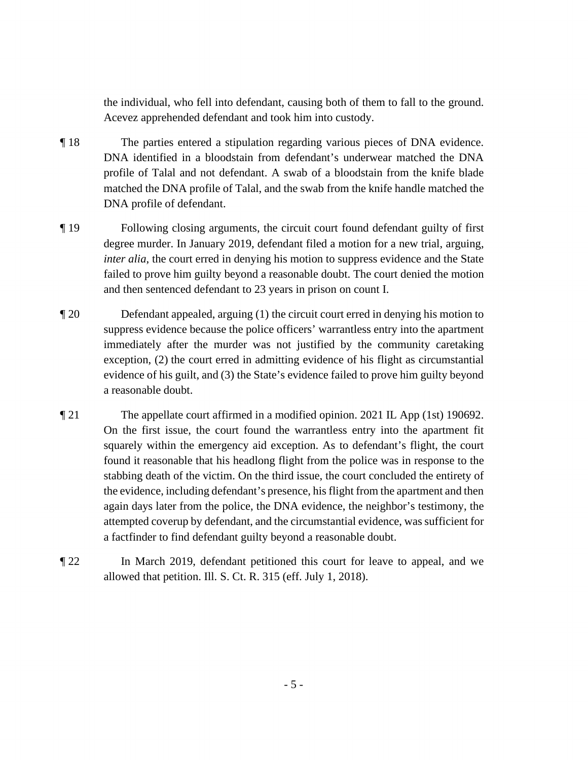the individual, who fell into defendant, causing both of them to fall to the ground. Acevez apprehended defendant and took him into custody.

- ¶ 18 The parties entered a stipulation regarding various pieces of DNA evidence. DNA identified in a bloodstain from defendant's underwear matched the DNA profile of Talal and not defendant. A swab of a bloodstain from the knife blade matched the DNA profile of Talal, and the swab from the knife handle matched the DNA profile of defendant.
- failed to prove him guilty beyond a reasonable doubt. The court denied the motion and then sentenced defendant to 23 years in prison on count I. ¶ 19 Following closing arguments, the circuit court found defendant guilty of first degree murder. In January 2019, defendant filed a motion for a new trial, arguing, *inter alia*, the court erred in denying his motion to suppress evidence and the State
- ¶ 20 Defendant appealed, arguing (1) the circuit court erred in denying his motion to suppress evidence because the police officers' warrantless entry into the apartment immediately after the murder was not justified by the community caretaking exception, (2) the court erred in admitting evidence of his flight as circumstantial evidence of his guilt, and (3) the State's evidence failed to prove him guilty beyond a reasonable doubt.
- stabbing death of the victim. On the third issue, the court concluded the entirety of ¶ 21 The appellate court affirmed in a modified opinion. 2021 IL App (1st) 190692. On the first issue, the court found the warrantless entry into the apartment fit squarely within the emergency aid exception. As to defendant's flight, the court found it reasonable that his headlong flight from the police was in response to the the evidence, including defendant's presence, his flight from the apartment and then again days later from the police, the DNA evidence, the neighbor's testimony, the attempted coverup by defendant, and the circumstantial evidence, was sufficient for a factfinder to find defendant guilty beyond a reasonable doubt.
- ¶ 22 In March 2019, defendant petitioned this court for leave to appeal, and we allowed that petition. Ill. S. Ct. R. 315 (eff. July 1, 2018).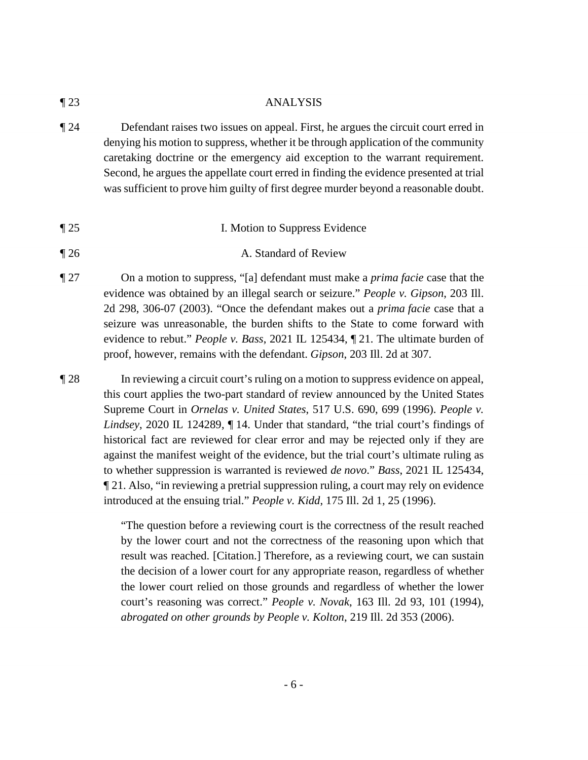¶ 23 ANALYSIS

- ¶ 24 Defendant raises two issues on appeal. First, he argues the circuit court erred in denying his motion to suppress, whether it be through application of the community caretaking doctrine or the emergency aid exception to the warrant requirement. Second, he argues the appellate court erred in finding the evidence presented at trial was sufficient to prove him guilty of first degree murder beyond a reasonable doubt.
- ¶ 25 I. Motion to Suppress Evidence
- ¶ 26 A. Standard of Review
- ¶ 27 On a motion to suppress, "[a] defendant must make a *prima facie* case that the evidence was obtained by an illegal search or seizure." *People v. Gipson*, 203 Ill. 2d 298, 306-07 (2003). "Once the defendant makes out a *prima facie* case that a seizure was unreasonable, the burden shifts to the State to come forward with evidence to rebut." *People v. Bass*, 2021 IL 125434, ¶ 21. The ultimate burden of proof, however, remains with the defendant. *Gipson*, 203 Ill. 2d at 307.
- this court applies the two-part standard of review announced by the United States historical fact are reviewed for clear error and may be rejected only if they are ¶ 28 In reviewing a circuit court's ruling on a motion to suppress evidence on appeal, Supreme Court in *Ornelas v. United States*, 517 U.S. 690, 699 (1996). *People v. Lindsey*, 2020 IL 124289, ¶ 14. Under that standard, "the trial court's findings of against the manifest weight of the evidence, but the trial court's ultimate ruling as to whether suppression is warranted is reviewed *de novo*." *Bass*, 2021 IL 125434, ¶ 21. Also, "in reviewing a pretrial suppression ruling, a court may rely on evidence introduced at the ensuing trial." *People v. Kidd*, 175 Ill. 2d 1, 25 (1996).

 "The question before a reviewing court is the correctness of the result reached by the lower court and not the correctness of the reasoning upon which that result was reached. [Citation.] Therefore, as a reviewing court, we can sustain the decision of a lower court for any appropriate reason, regardless of whether the lower court relied on those grounds and regardless of whether the lower court's reasoning was correct." *People v. Novak*, 163 Ill. 2d 93, 101 (1994), *abrogated on other grounds by People v. Kolton*, 219 Ill. 2d 353 (2006).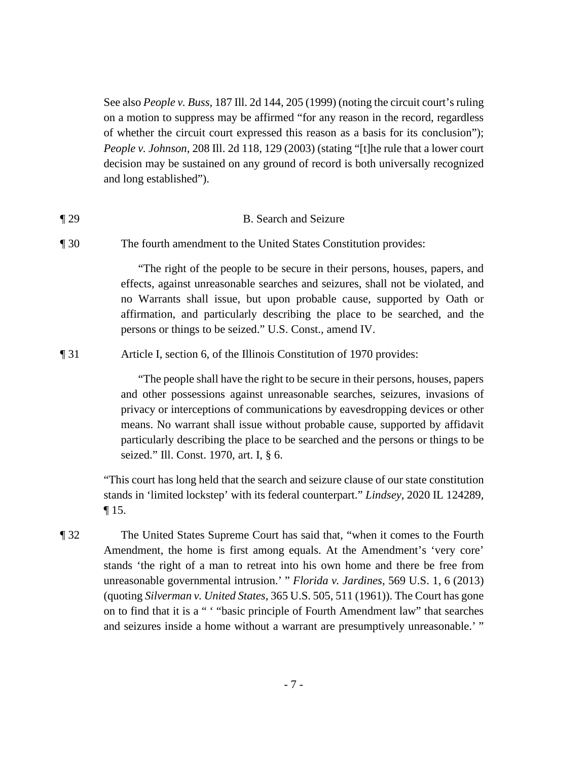of whether the circuit court expressed this reason as a basis for its conclusion"); See also *People v. Buss*, 187 Ill. 2d 144, 205 (1999) (noting the circuit court's ruling on a motion to suppress may be affirmed "for any reason in the record, regardless *People v. Johnson*, 208 Ill. 2d 118, 129 (2003) (stating "[t]he rule that a lower court decision may be sustained on any ground of record is both universally recognized and long established").

## ¶ 29 B. Search and Seizure

¶ 30 The fourth amendment to the United States Constitution provides:

"The right of the people to be secure in their persons, houses, papers, and effects, against unreasonable searches and seizures, shall not be violated, and no Warrants shall issue, but upon probable cause, supported by Oath or affirmation, and particularly describing the place to be searched, and the persons or things to be seized." U.S. Const., amend IV.

¶ 31 Article I, section 6, of the Illinois Constitution of 1970 provides:

"The people shall have the right to be secure in their persons, houses, papers and other possessions against unreasonable searches, seizures, invasions of privacy or interceptions of communications by eavesdropping devices or other means. No warrant shall issue without probable cause, supported by affidavit particularly describing the place to be searched and the persons or things to be seized." Ill. Const. 1970, art. I, § 6.

"This court has long held that the search and seizure clause of our state constitution stands in 'limited lockstep' with its federal counterpart." *Lindsey*, 2020 IL 124289, ¶ 15.

¶ 32 The United States Supreme Court has said that, "when it comes to the Fourth Amendment, the home is first among equals. At the Amendment's 'very core' stands 'the right of a man to retreat into his own home and there be free from unreasonable governmental intrusion.' " *Florida v. Jardines*, 569 U.S. 1, 6 (2013) (quoting *Silverman v. United States*, 365 U.S. 505, 511 (1961)). The Court has gone on to find that it is a " ' "basic principle of Fourth Amendment law" that searches and seizures inside a home without a warrant are presumptively unreasonable.' "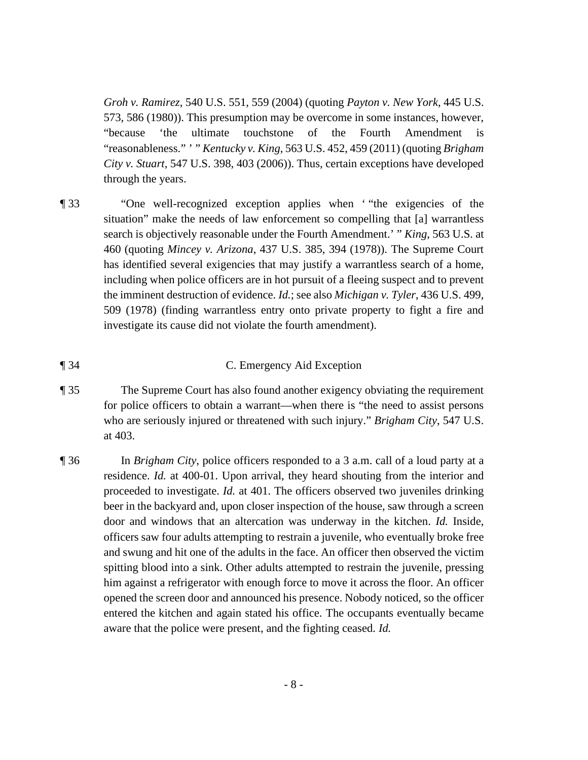*Groh v. Ramirez*, 540 U.S. 551, 559 (2004) (quoting *Payton v. New York*, 445 U.S. 573, 586 (1980)). This presumption may be overcome in some instances, however, "because 'the ultimate touchstone of the Fourth Amendment is "reasonableness." ' " *Kentucky v. King*, 563 U.S. 452, 459 (2011) (quoting *Brigham City v. Stuart*, 547 U.S. 398, 403 (2006)). Thus, certain exceptions have developed through the years.

¶ 33 "One well-recognized exception applies when ' "the exigencies of the situation" make the needs of law enforcement so compelling that [a] warrantless search is objectively reasonable under the Fourth Amendment.' " *King*, 563 U.S. at 460 (quoting *Mincey v. Arizona*, 437 U.S. 385, 394 (1978)). The Supreme Court has identified several exigencies that may justify a warrantless search of a home, including when police officers are in hot pursuit of a fleeing suspect and to prevent the imminent destruction of evidence. *Id.*; see also *Michigan v. Tyler*, 436 U.S. 499, 509 (1978) (finding warrantless entry onto private property to fight a fire and investigate its cause did not violate the fourth amendment).

### ¶ 34 C. Emergency Aid Exception

- ¶ 35 The Supreme Court has also found another exigency obviating the requirement for police officers to obtain a warrant—when there is "the need to assist persons who are seriously injured or threatened with such injury." *Brigham City*, 547 U.S. at 403.
- ¶ 36 In *Brigham City*, police officers responded to a 3 a.m. call of a loud party at a beer in the backyard and, upon closer inspection of the house, saw through a screen and swung and hit one of the adults in the face. An officer then observed the victim entered the kitchen and again stated his office. The occupants eventually became aware that the police were present, and the fighting ceased. *Id.*  residence. *Id.* at 400-01. Upon arrival, they heard shouting from the interior and proceeded to investigate. *Id.* at 401. The officers observed two juveniles drinking door and windows that an altercation was underway in the kitchen. *Id.* Inside, officers saw four adults attempting to restrain a juvenile, who eventually broke free spitting blood into a sink. Other adults attempted to restrain the juvenile, pressing him against a refrigerator with enough force to move it across the floor. An officer opened the screen door and announced his presence. Nobody noticed, so the officer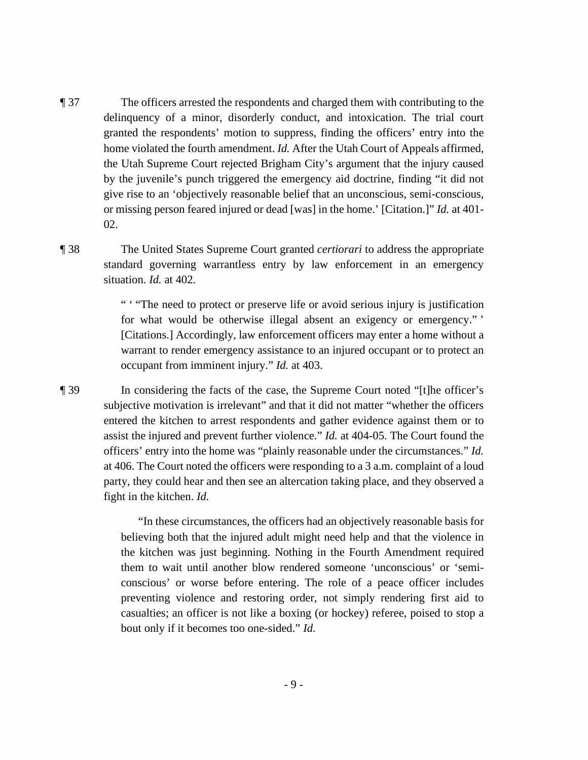- home violated the fourth amendment. *Id.* After the Utah Court of Appeals affirmed, ¶ 37 The officers arrested the respondents and charged them with contributing to the delinquency of a minor, disorderly conduct, and intoxication. The trial court granted the respondents' motion to suppress, finding the officers' entry into the the Utah Supreme Court rejected Brigham City's argument that the injury caused by the juvenile's punch triggered the emergency aid doctrine, finding "it did not give rise to an 'objectively reasonable belief that an unconscious, semi-conscious, or missing person feared injured or dead [was] in the home.' [Citation.]" *Id.* at 401- 02.
- 

 standard governing warrantless entry by law enforcement in an emergency ¶ 38 The United States Supreme Court granted *certiorari* to address the appropriate situation. *Id.* at 402.

> occupant from imminent injury." *Id.* at 403. " ' "The need to protect or preserve life or avoid serious injury is justification for what would be otherwise illegal absent an exigency or emergency." ' [Citations.] Accordingly, law enforcement officers may enter a home without a warrant to render emergency assistance to an injured occupant or to protect an

 subjective motivation is irrelevant" and that it did not matter "whether the officers party, they could hear and then see an altercation taking place, and they observed a ¶ 39 In considering the facts of the case, the Supreme Court noted "[t]he officer's entered the kitchen to arrest respondents and gather evidence against them or to assist the injured and prevent further violence." *Id.* at 404-05. The Court found the officers' entry into the home was "plainly reasonable under the circumstances." *Id.*  at 406. The Court noted the officers were responding to a 3 a.m. complaint of a loud fight in the kitchen. *Id.* 

> bout only if it becomes too one-sided." *Id.*  "In these circumstances, the officers had an objectively reasonable basis for believing both that the injured adult might need help and that the violence in the kitchen was just beginning. Nothing in the Fourth Amendment required them to wait until another blow rendered someone 'unconscious' or 'semiconscious' or worse before entering. The role of a peace officer includes preventing violence and restoring order, not simply rendering first aid to casualties; an officer is not like a boxing (or hockey) referee, poised to stop a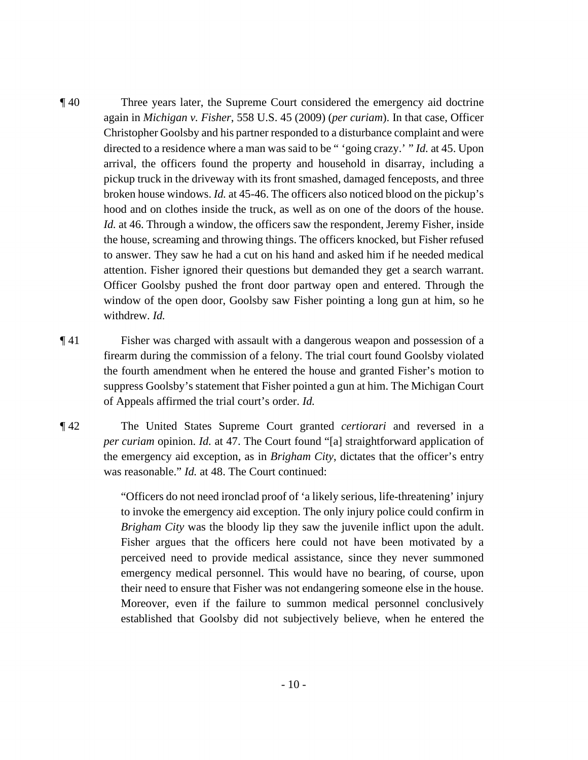again in *Michigan v. Fisher*, 558 U.S. 45 (2009) (*per curiam*). In that case, Officer directed to a residence where a man was said to be " 'going crazy.' " *Id.* at 45. Upon attention. Fisher ignored their questions but demanded they get a search warrant. ¶ 40 Three years later, the Supreme Court considered the emergency aid doctrine Christopher Goolsby and his partner responded to a disturbance complaint and were arrival, the officers found the property and household in disarray, including a pickup truck in the driveway with its front smashed, damaged fenceposts, and three broken house windows. *Id.* at 45-46. The officers also noticed blood on the pickup's hood and on clothes inside the truck, as well as on one of the doors of the house. *Id.* at 46. Through a window, the officers saw the respondent, Jeremy Fisher, inside the house, screaming and throwing things. The officers knocked, but Fisher refused to answer. They saw he had a cut on his hand and asked him if he needed medical Officer Goolsby pushed the front door partway open and entered. Through the window of the open door, Goolsby saw Fisher pointing a long gun at him, so he withdrew. *Id.* 

 of Appeals affirmed the trial court's order. *Id.*  ¶ 41 Fisher was charged with assault with a dangerous weapon and possession of a firearm during the commission of a felony. The trial court found Goolsby violated the fourth amendment when he entered the house and granted Fisher's motion to suppress Goolsby's statement that Fisher pointed a gun at him. The Michigan Court

 *per curiam* opinion. *Id.* at 47. The Court found "[a] straightforward application of ¶ 42 The United States Supreme Court granted *certiorari* and reversed in a the emergency aid exception, as in *Brigham City*, dictates that the officer's entry was reasonable." *Id.* at 48. The Court continued:

> "Officers do not need ironclad proof of 'a likely serious, life-threatening' injury to invoke the emergency aid exception. The only injury police could confirm in *Brigham City* was the bloody lip they saw the juvenile inflict upon the adult. Fisher argues that the officers here could not have been motivated by a perceived need to provide medical assistance, since they never summoned emergency medical personnel. This would have no bearing, of course, upon their need to ensure that Fisher was not endangering someone else in the house. Moreover, even if the failure to summon medical personnel conclusively established that Goolsby did not subjectively believe, when he entered the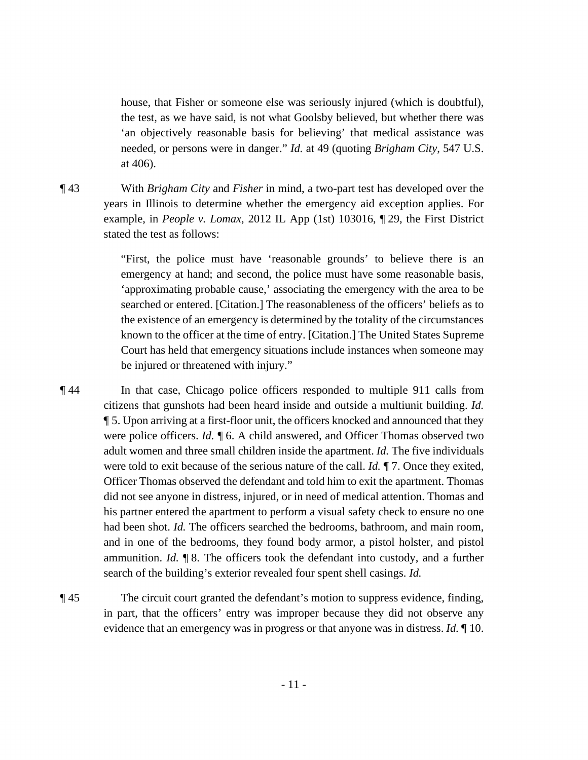the test, as we have said, is not what Goolsby believed, but whether there was needed, or persons were in danger." *Id.* at 49 (quoting *Brigham City*, 547 U.S. house, that Fisher or someone else was seriously injured (which is doubtful), 'an objectively reasonable basis for believing' that medical assistance was at 406).

 ¶ 43 With *Brigham City* and *Fisher* in mind, a two-part test has developed over the years in Illinois to determine whether the emergency aid exception applies. For example, in *People v. Lomax*, 2012 IL App (1st) 103016, ¶ 29, the First District stated the test as follows:

> 'approximating probable cause,' associating the emergency with the area to be "First, the police must have 'reasonable grounds' to believe there is an emergency at hand; and second, the police must have some reasonable basis, searched or entered. [Citation.] The reasonableness of the officers' beliefs as to the existence of an emergency is determined by the totality of the circumstances known to the officer at the time of entry. [Citation.] The United States Supreme Court has held that emergency situations include instances when someone may be injured or threatened with injury."

 were police officers. *Id.* ¶ 6. A child answered, and Officer Thomas observed two had been shot. *Id.* The officers searched the bedrooms, bathroom, and main room, ammunition. *Id.* ¶ 8. The officers took the defendant into custody, and a further search of the building's exterior revealed four spent shell casings. *Id.* ¶ 44 In that case, Chicago police officers responded to multiple 911 calls from citizens that gunshots had been heard inside and outside a multiunit building. *Id.*  ¶ 5. Upon arriving at a first-floor unit, the officers knocked and announced that they adult women and three small children inside the apartment. *Id.* The five individuals were told to exit because of the serious nature of the call. *Id.* ¶ 7. Once they exited, Officer Thomas observed the defendant and told him to exit the apartment. Thomas did not see anyone in distress, injured, or in need of medical attention. Thomas and his partner entered the apartment to perform a visual safety check to ensure no one and in one of the bedrooms, they found body armor, a pistol holster, and pistol

¶ 45 The circuit court granted the defendant's motion to suppress evidence, finding, in part, that the officers' entry was improper because they did not observe any evidence that an emergency was in progress or that anyone was in distress. *Id.* ¶ 10.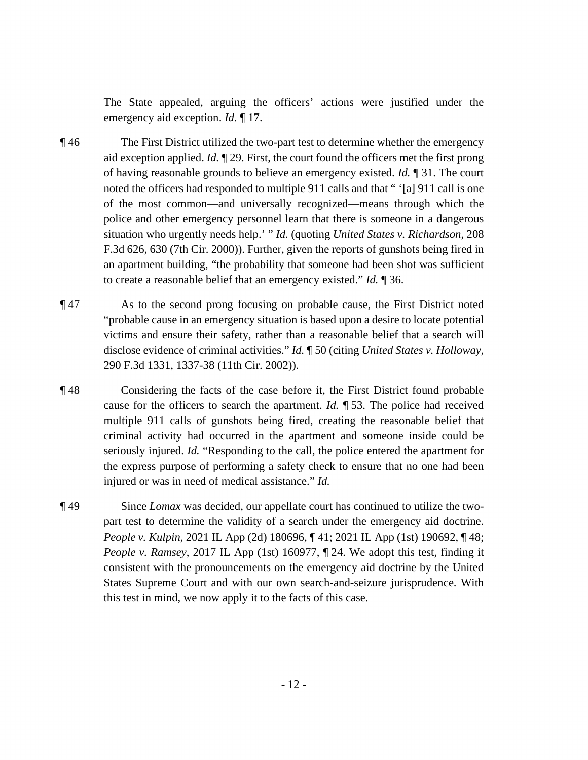The State appealed, arguing the officers' actions were justified under the emergency aid exception. *Id.* ¶ 17.

- aid exception applied. *Id.* ¶ 29. First, the court found the officers met the first prong of having reasonable grounds to believe an emergency existed. *Id.* ¶ 31. The court noted the officers had responded to multiple 911 calls and that " '[a] 911 call is one situation who urgently needs help.' " *Id.* (quoting *United States v. Richardson*, 208 ¶ 46 The First District utilized the two-part test to determine whether the emergency of the most common—and universally recognized—means through which the police and other emergency personnel learn that there is someone in a dangerous F.3d 626, 630 (7th Cir. 2000)). Further, given the reports of gunshots being fired in an apartment building, "the probability that someone had been shot was sufficient to create a reasonable belief that an emergency existed." *Id.* ¶ 36.
- disclose evidence of criminal activities." *Id.* ¶ 50 (citing *United States v. Holloway*, ¶ 47 As to the second prong focusing on probable cause, the First District noted "probable cause in an emergency situation is based upon a desire to locate potential victims and ensure their safety, rather than a reasonable belief that a search will 290 F.3d 1331, 1337-38 (11th Cir. 2002)).
- cause for the officers to search the apartment. *Id.* ¶ 53. The police had received ¶ 48 Considering the facts of the case before it, the First District found probable multiple 911 calls of gunshots being fired, creating the reasonable belief that criminal activity had occurred in the apartment and someone inside could be seriously injured. *Id.* "Responding to the call, the police entered the apartment for the express purpose of performing a safety check to ensure that no one had been injured or was in need of medical assistance." *Id.*
- ¶ 49 Since *Lomax* was decided, our appellate court has continued to utilize the twopart test to determine the validity of a search under the emergency aid doctrine. *People v. Kulpin*, 2021 IL App (2d) 180696, ¶ 41; 2021 IL App (1st) 190692, ¶ 48; *People v. Ramsey*, 2017 IL App (1st) 160977, ¶ 24. We adopt this test, finding it consistent with the pronouncements on the emergency aid doctrine by the United States Supreme Court and with our own search-and-seizure jurisprudence. With this test in mind, we now apply it to the facts of this case.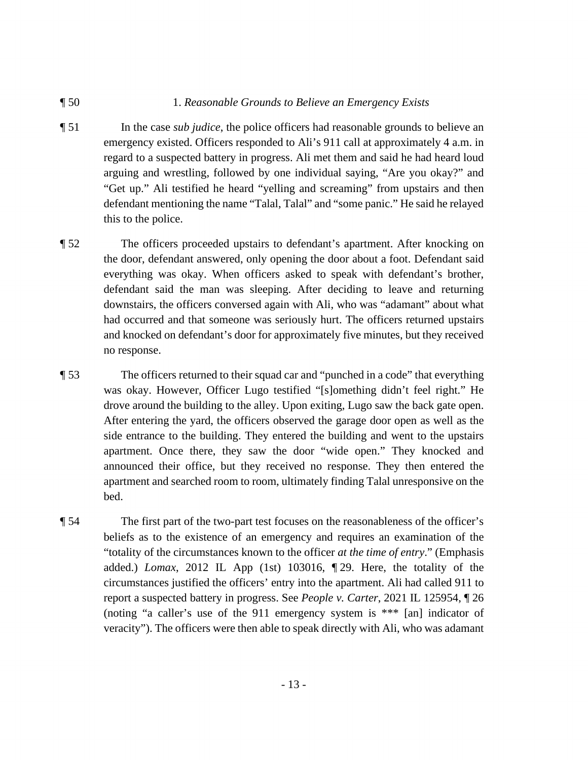#### ¶ 50 1. *Reasonable Grounds to Believe an Emergency Exists*

- "Get up." Ali testified he heard "yelling and screaming" from upstairs and then ¶ 51 In the case *sub judice*, the police officers had reasonable grounds to believe an emergency existed. Officers responded to Ali's 911 call at approximately 4 a.m. in regard to a suspected battery in progress. Ali met them and said he had heard loud arguing and wrestling, followed by one individual saying, "Are you okay?" and defendant mentioning the name "Talal, Talal" and "some panic." He said he relayed this to the police.
- downstairs, the officers conversed again with Ali, who was "adamant" about what ¶ 52 The officers proceeded upstairs to defendant's apartment. After knocking on the door, defendant answered, only opening the door about a foot. Defendant said everything was okay. When officers asked to speak with defendant's brother, defendant said the man was sleeping. After deciding to leave and returning had occurred and that someone was seriously hurt. The officers returned upstairs and knocked on defendant's door for approximately five minutes, but they received no response.
- side entrance to the building. They entered the building and went to the upstairs ¶ 53 The officers returned to their squad car and "punched in a code" that everything was okay. However, Officer Lugo testified "[s]omething didn't feel right." He drove around the building to the alley. Upon exiting, Lugo saw the back gate open. After entering the yard, the officers observed the garage door open as well as the apartment. Once there, they saw the door "wide open." They knocked and announced their office, but they received no response. They then entered the apartment and searched room to room, ultimately finding Talal unresponsive on the bed.
- ¶ 54 The first part of the two-part test focuses on the reasonableness of the officer's beliefs as to the existence of an emergency and requires an examination of the "totality of the circumstances known to the officer *at the time of entry*." (Emphasis added.) *Lomax*, 2012 IL App (1st) 103016, ¶ 29. Here, the totality of the circumstances justified the officers' entry into the apartment. Ali had called 911 to report a suspected battery in progress. See *People v. Carter*, 2021 IL 125954, ¶ 26 (noting "a caller's use of the 911 emergency system is \*\*\* [an] indicator of veracity"). The officers were then able to speak directly with Ali, who was adamant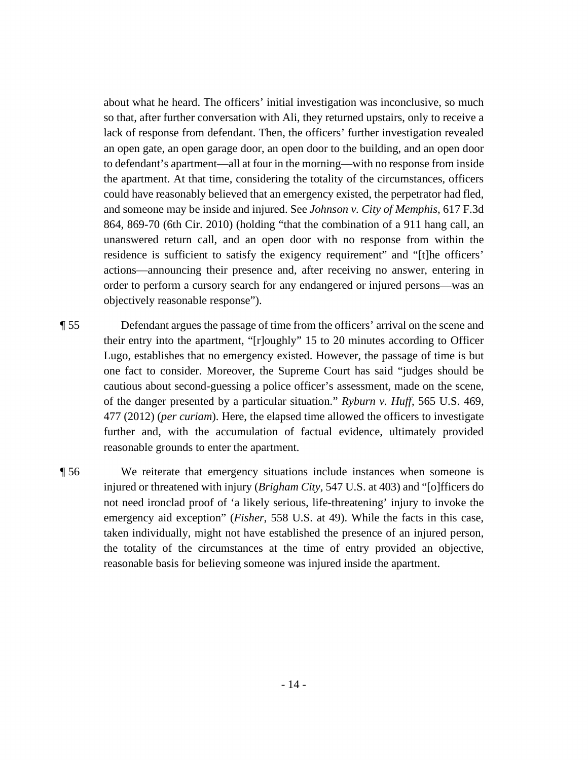about what he heard. The officers' initial investigation was inconclusive, so much so that, after further conversation with Ali, they returned upstairs, only to receive a lack of response from defendant. Then, the officers' further investigation revealed an open gate, an open garage door, an open door to the building, and an open door to defendant's apartment—all at four in the morning—with no response from inside the apartment. At that time, considering the totality of the circumstances, officers could have reasonably believed that an emergency existed, the perpetrator had fled, and someone may be inside and injured. See *Johnson v. City of Memphis*, 617 F.3d 864, 869-70 (6th Cir. 2010) (holding "that the combination of a 911 hang call, an unanswered return call, and an open door with no response from within the residence is sufficient to satisfy the exigency requirement" and "[t]he officers' actions—announcing their presence and, after receiving no answer, entering in order to perform a cursory search for any endangered or injured persons—was an objectively reasonable response").

- ¶ 55 Defendant argues the passage of time from the officers' arrival on the scene and their entry into the apartment, "[r]oughly" 15 to 20 minutes according to Officer Lugo, establishes that no emergency existed. However, the passage of time is but one fact to consider. Moreover, the Supreme Court has said "judges should be cautious about second-guessing a police officer's assessment, made on the scene, of the danger presented by a particular situation." *Ryburn v. Huff*, 565 U.S. 469, 477 (2012) (*per curiam*). Here, the elapsed time allowed the officers to investigate further and, with the accumulation of factual evidence, ultimately provided reasonable grounds to enter the apartment.
- ¶ 56 We reiterate that emergency situations include instances when someone is injured or threatened with injury (*Brigham City*, 547 U.S. at 403) and "[o]fficers do not need ironclad proof of 'a likely serious, life-threatening' injury to invoke the emergency aid exception" (*Fisher*, 558 U.S. at 49). While the facts in this case, taken individually, might not have established the presence of an injured person, the totality of the circumstances at the time of entry provided an objective, reasonable basis for believing someone was injured inside the apartment.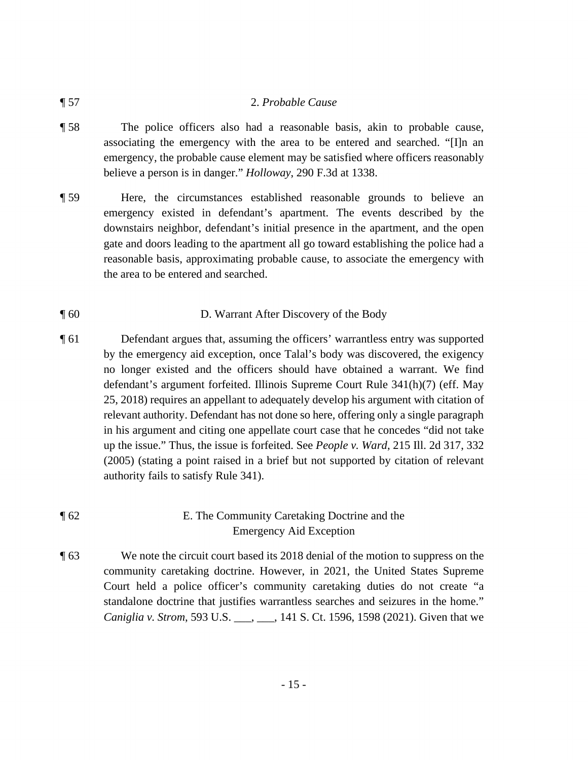#### ¶ 57 2. *Probable Cause*

- ¶ 58 The police officers also had a reasonable basis, akin to probable cause, associating the emergency with the area to be entered and searched. "[I]n an emergency, the probable cause element may be satisfied where officers reasonably believe a person is in danger." *Holloway*, 290 F.3d at 1338.
- ¶ 59 Here, the circumstances established reasonable grounds to believe an emergency existed in defendant's apartment. The events described by the downstairs neighbor, defendant's initial presence in the apartment, and the open gate and doors leading to the apartment all go toward establishing the police had a reasonable basis, approximating probable cause, to associate the emergency with the area to be entered and searched.

### ¶ 60 D. Warrant After Discovery of the Body

¶ 61 Defendant argues that, assuming the officers' warrantless entry was supported by the emergency aid exception, once Talal's body was discovered, the exigency no longer existed and the officers should have obtained a warrant. We find defendant's argument forfeited. Illinois Supreme Court Rule 341(h)(7) (eff. May 25, 2018) requires an appellant to adequately develop his argument with citation of relevant authority. Defendant has not done so here, offering only a single paragraph in his argument and citing one appellate court case that he concedes "did not take up the issue." Thus, the issue is forfeited. See *People v. Ward*, 215 Ill. 2d 317, 332 (2005) (stating a point raised in a brief but not supported by citation of relevant authority fails to satisfy Rule 341).

### ¶ 62 E. The Community Caretaking Doctrine and the Emergency Aid Exception

 community caretaking doctrine. However, in 2021, the United States Supreme ¶ 63 We note the circuit court based its 2018 denial of the motion to suppress on the Court held a police officer's community caretaking duties do not create "a standalone doctrine that justifies warrantless searches and seizures in the home." *Caniglia v. Strom*, 593 U.S. \_\_\_, \_\_\_, 141 S. Ct. 1596, 1598 (2021). Given that we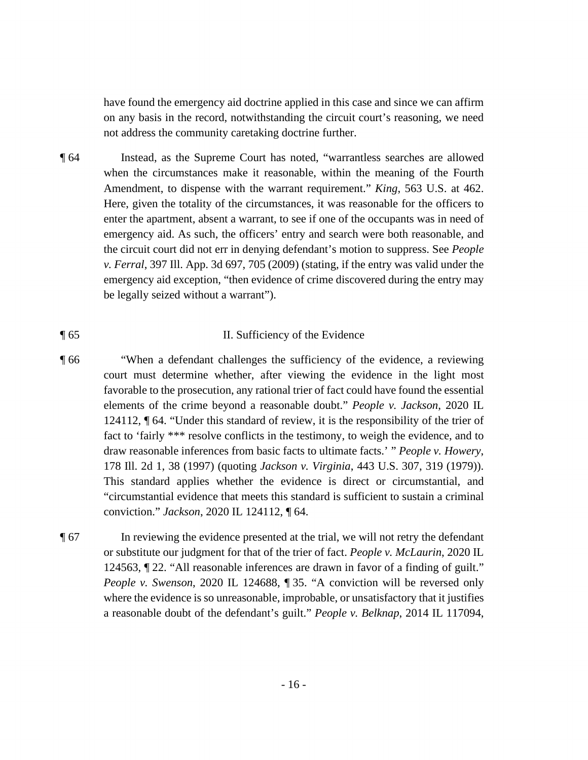have found the emergency aid doctrine applied in this case and since we can affirm on any basis in the record, notwithstanding the circuit court's reasoning, we need not address the community caretaking doctrine further.

¶ 64 Instead, as the Supreme Court has noted, "warrantless searches are allowed when the circumstances make it reasonable, within the meaning of the Fourth Amendment, to dispense with the warrant requirement." *King*, 563 U.S. at 462. Here, given the totality of the circumstances, it was reasonable for the officers to enter the apartment, absent a warrant, to see if one of the occupants was in need of emergency aid. As such, the officers' entry and search were both reasonable, and the circuit court did not err in denying defendant's motion to suppress. See *People v. Ferral*, 397 Ill. App. 3d 697, 705 (2009) (stating, if the entry was valid under the emergency aid exception, "then evidence of crime discovered during the entry may be legally seized without a warrant").

#### ¶ 65 II. Sufficiency of the Evidence

- "circumstantial evidence that meets this standard is sufficient to sustain a criminal ¶ 66 "When a defendant challenges the sufficiency of the evidence, a reviewing court must determine whether, after viewing the evidence in the light most favorable to the prosecution, any rational trier of fact could have found the essential elements of the crime beyond a reasonable doubt." *People v. Jackson*, 2020 IL 124112, ¶ 64. "Under this standard of review, it is the responsibility of the trier of fact to 'fairly \*\*\* resolve conflicts in the testimony, to weigh the evidence, and to draw reasonable inferences from basic facts to ultimate facts.' " *People v. Howery*, 178 Ill. 2d 1, 38 (1997) (quoting *Jackson v. Virginia*, 443 U.S. 307, 319 (1979)). This standard applies whether the evidence is direct or circumstantial, and conviction." *Jackson*, 2020 IL 124112, ¶ 64.
- where the evidence is so unreasonable, improbable, or unsatisfactory that it justifies ¶ 67 In reviewing the evidence presented at the trial, we will not retry the defendant or substitute our judgment for that of the trier of fact. *People v. McLaurin*, 2020 IL 124563, ¶ 22. "All reasonable inferences are drawn in favor of a finding of guilt." *People v. Swenson*, 2020 IL 124688, ¶ 35. "A conviction will be reversed only a reasonable doubt of the defendant's guilt." *People v. Belknap*, 2014 IL 117094,